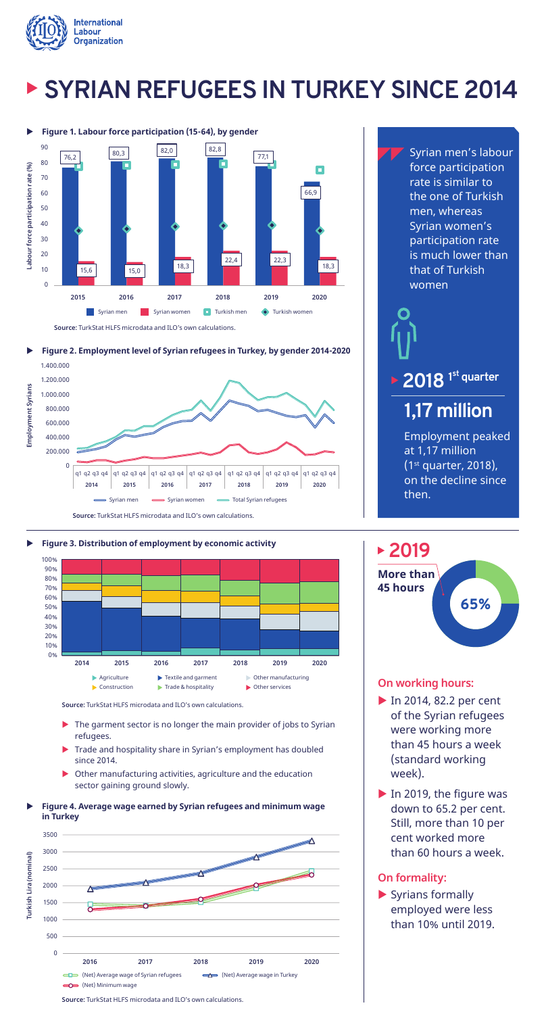

# � **SYRIAN REFUGEES IN TURKEY SINCE 2014**





X **Figure 2. Employment level of Syrian refugees in Turkey, by gender 2014-2020**

**Source:** TurkStat HLFS microdata and ILO's own calculations.





**Source:** TurkStat HLFS microdata and ILO's own calculations.

- ▶ The garment sector is no longer the main provider of jobs to Syrian refugees.
- � Trade and hospitality share in Syrian's employment has doubled since 2014.
- � Other manufacturing activities, agriculture and the education sector gaining ground slowly.
- X **Figure 4. Average wage earned by Syrian refugees and minimum wage in Turkey**



Syrian men's labour force participation rate is similar to the one of Turkish men, whereas Syrian women's participation rate is much lower than that of Turkish women

**2018 1 st quarter**

## **1,17 million**

Employment peaked at 1,17 million (1st quarter, 2018), on the decline since then.

## **2019**



### **On working hours:**

- ▶ In 2014, 82.2 per cent of the Syrian refugees were working more than 45 hours a week (standard working week).
- ▶ In 2019, the figure was down to 65.2 per cent. Still, more than 10 per cent worked more than 60 hours a week.

### **On formality:**

� Syrians formally employed were less than 10% until 2019.